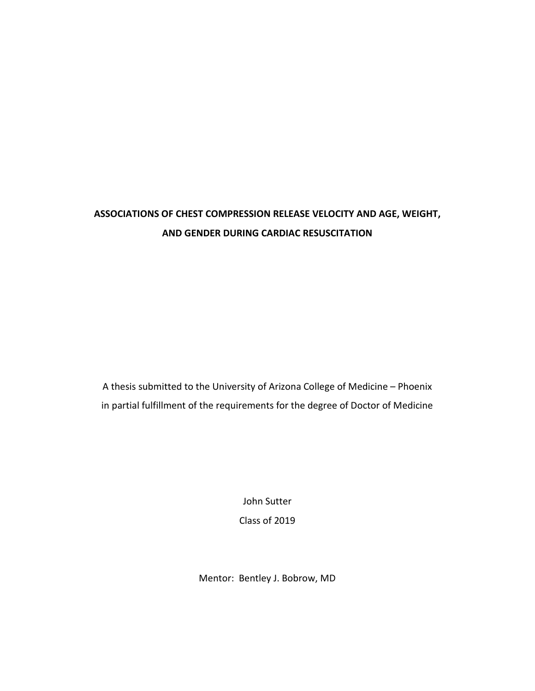# **ASSOCIATIONS OF CHEST COMPRESSION RELEASE VELOCITY AND AGE, WEIGHT, AND GENDER DURING CARDIAC RESUSCITATION**

A thesis submitted to the University of Arizona College of Medicine – Phoenix in partial fulfillment of the requirements for the degree of Doctor of Medicine

> John Sutter Class of 2019

Mentor: Bentley J. Bobrow, MD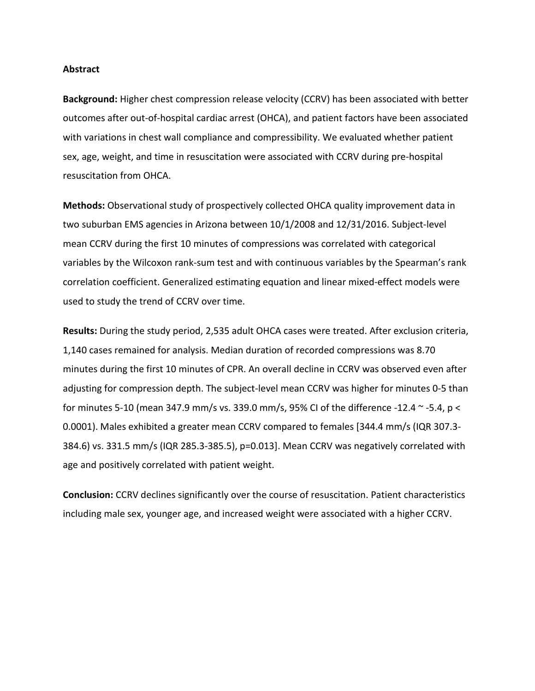#### **Abstract**

**Background:** Higher chest compression release velocity (CCRV) has been associated with better outcomes after out-of-hospital cardiac arrest (OHCA), and patient factors have been associated with variations in chest wall compliance and compressibility. We evaluated whether patient sex, age, weight, and time in resuscitation were associated with CCRV during pre-hospital resuscitation from OHCA.

**Methods:** Observational study of prospectively collected OHCA quality improvement data in two suburban EMS agencies in Arizona between 10/1/2008 and 12/31/2016. Subject-level mean CCRV during the first 10 minutes of compressions was correlated with categorical variables by the Wilcoxon rank-sum test and with continuous variables by the Spearman's rank correlation coefficient. Generalized estimating equation and linear mixed-effect models were used to study the trend of CCRV over time.

**Results:** During the study period, 2,535 adult OHCA cases were treated. After exclusion criteria, 1,140 cases remained for analysis. Median duration of recorded compressions was 8.70 minutes during the first 10 minutes of CPR. An overall decline in CCRV was observed even after adjusting for compression depth. The subject-level mean CCRV was higher for minutes 0-5 than for minutes 5-10 (mean 347.9 mm/s vs. 339.0 mm/s, 95% CI of the difference -12.4 ~ -5.4, p < 0.0001). Males exhibited a greater mean CCRV compared to females [344.4 mm/s (IQR 307.3- 384.6) vs. 331.5 mm/s (IQR 285.3-385.5), p=0.013]. Mean CCRV was negatively correlated with age and positively correlated with patient weight.

**Conclusion:** CCRV declines significantly over the course of resuscitation. Patient characteristics including male sex, younger age, and increased weight were associated with a higher CCRV.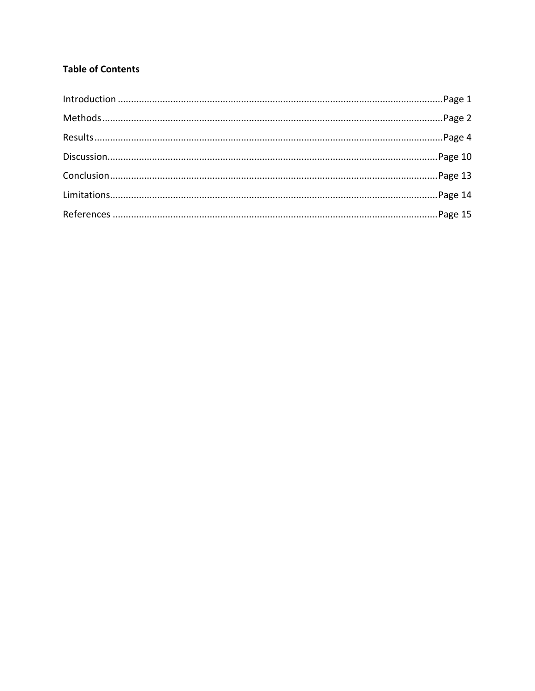## **Table of Contents**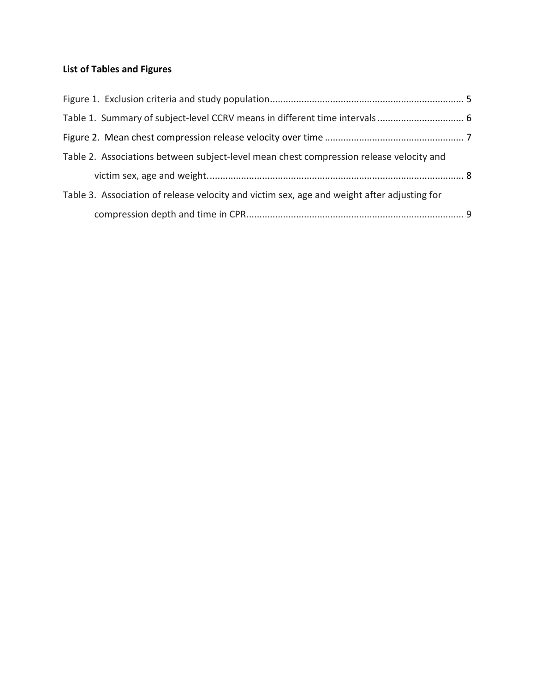## **List of Tables and Figures**

| Table 2. Associations between subject-level mean chest compression release velocity and     |  |
|---------------------------------------------------------------------------------------------|--|
|                                                                                             |  |
| Table 3. Association of release velocity and victim sex, age and weight after adjusting for |  |
|                                                                                             |  |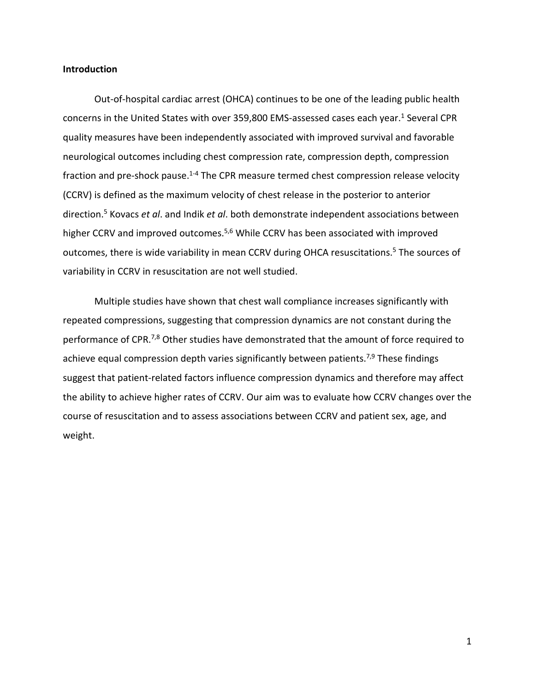## **Introduction**

Out-of-hospital cardiac arrest (OHCA) continues to be one of the leading public health concerns in the United States with over 359,800 EMS-assessed cases each year.<sup>1</sup> Several CPR quality measures have been independently associated with improved survival and favorable neurological outcomes including chest compression rate, compression depth, compression fraction and pre-shock pause.<sup>1-4</sup> The CPR measure termed chest compression release velocity (CCRV) is defined as the maximum velocity of chest release in the posterior to anterior direction.5 Kovacs *et al*. and Indik *et al*. both demonstrate independent associations between higher CCRV and improved outcomes.<sup>5,6</sup> While CCRV has been associated with improved outcomes, there is wide variability in mean CCRV during OHCA resuscitations.<sup>5</sup> The sources of variability in CCRV in resuscitation are not well studied.

Multiple studies have shown that chest wall compliance increases significantly with repeated compressions, suggesting that compression dynamics are not constant during the performance of CPR.<sup>7,8</sup> Other studies have demonstrated that the amount of force required to achieve equal compression depth varies significantly between patients.<sup>7,9</sup> These findings suggest that patient-related factors influence compression dynamics and therefore may affect the ability to achieve higher rates of CCRV. Our aim was to evaluate how CCRV changes over the course of resuscitation and to assess associations between CCRV and patient sex, age, and weight.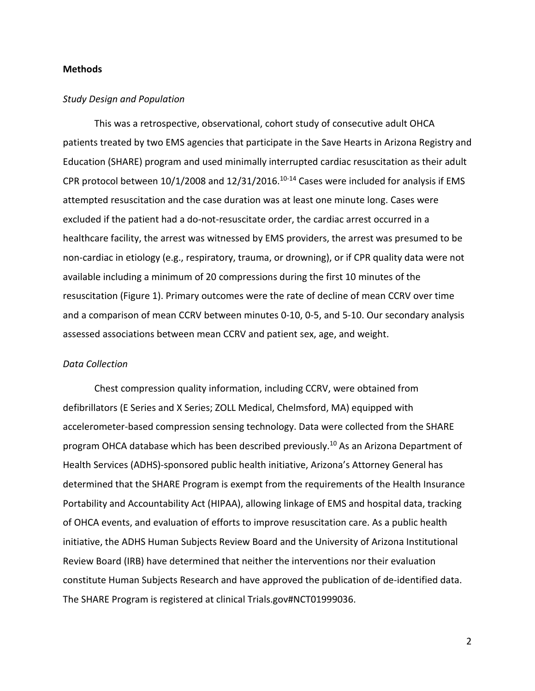## **Methods**

## *Study Design and Population*

This was a retrospective, observational, cohort study of consecutive adult OHCA patients treated by two EMS agencies that participate in the Save Hearts in Arizona Registry and Education (SHARE) program and used minimally interrupted cardiac resuscitation as their adult CPR protocol between  $10/1/2008$  and  $12/31/2016$ .<sup>10-14</sup> Cases were included for analysis if EMS attempted resuscitation and the case duration was at least one minute long. Cases were excluded if the patient had a do-not-resuscitate order, the cardiac arrest occurred in a healthcare facility, the arrest was witnessed by EMS providers, the arrest was presumed to be non-cardiac in etiology (e.g., respiratory, trauma, or drowning), or if CPR quality data were not available including a minimum of 20 compressions during the first 10 minutes of the resuscitation (Figure 1). Primary outcomes were the rate of decline of mean CCRV over time and a comparison of mean CCRV between minutes 0-10, 0-5, and 5-10. Our secondary analysis assessed associations between mean CCRV and patient sex, age, and weight.

#### *Data Collection*

Chest compression quality information, including CCRV, were obtained from defibrillators (E Series and X Series; ZOLL Medical, Chelmsford, MA) equipped with accelerometer-based compression sensing technology. Data were collected from the SHARE program OHCA database which has been described previously.<sup>10</sup> As an Arizona Department of Health Services (ADHS)-sponsored public health initiative, Arizona's Attorney General has determined that the SHARE Program is exempt from the requirements of the Health Insurance Portability and Accountability Act (HIPAA), allowing linkage of EMS and hospital data, tracking of OHCA events, and evaluation of efforts to improve resuscitation care. As a public health initiative, the ADHS Human Subjects Review Board and the University of Arizona Institutional Review Board (IRB) have determined that neither the interventions nor their evaluation constitute Human Subjects Research and have approved the publication of de-identified data. The SHARE Program is registered at clinical Trials.gov#NCT01999036.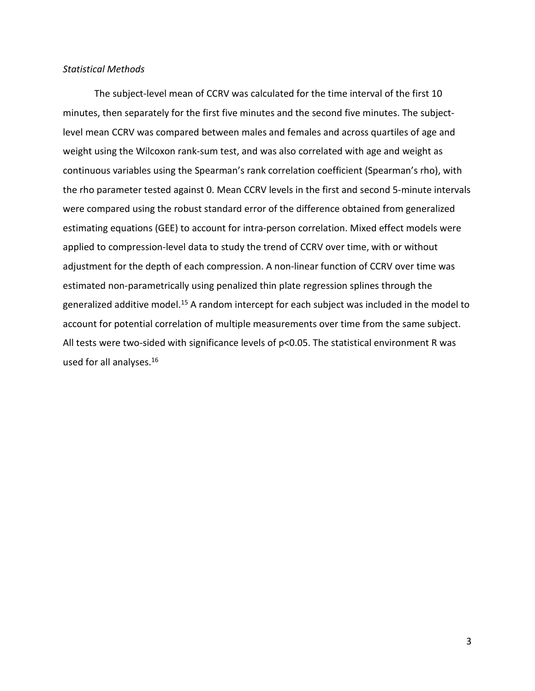## *Statistical Methods*

The subject-level mean of CCRV was calculated for the time interval of the first 10 minutes, then separately for the first five minutes and the second five minutes. The subjectlevel mean CCRV was compared between males and females and across quartiles of age and weight using the Wilcoxon rank-sum test, and was also correlated with age and weight as continuous variables using the Spearman's rank correlation coefficient (Spearman's rho), with the rho parameter tested against 0. Mean CCRV levels in the first and second 5-minute intervals were compared using the robust standard error of the difference obtained from generalized estimating equations (GEE) to account for intra-person correlation. Mixed effect models were applied to compression-level data to study the trend of CCRV over time, with or without adjustment for the depth of each compression. A non-linear function of CCRV over time was estimated non-parametrically using penalized thin plate regression splines through the generalized additive model.15 A random intercept for each subject was included in the model to account for potential correlation of multiple measurements over time from the same subject. All tests were two-sided with significance levels of p<0.05. The statistical environment R was used for all analyses.16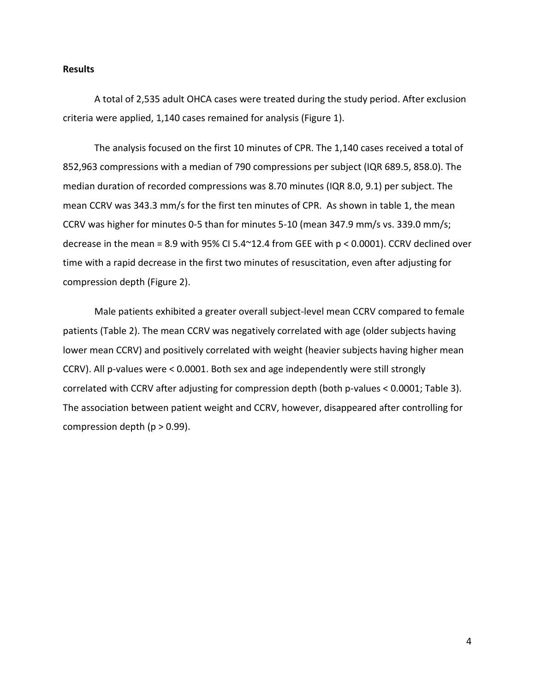## **Results**

A total of 2,535 adult OHCA cases were treated during the study period. After exclusion criteria were applied, 1,140 cases remained for analysis (Figure 1).

The analysis focused on the first 10 minutes of CPR. The 1,140 cases received a total of 852,963 compressions with a median of 790 compressions per subject (IQR 689.5, 858.0). The median duration of recorded compressions was 8.70 minutes (IQR 8.0, 9.1) per subject. The mean CCRV was 343.3 mm/s for the first ten minutes of CPR. As shown in table 1, the mean CCRV was higher for minutes 0-5 than for minutes 5-10 (mean 347.9 mm/s vs. 339.0 mm/s; decrease in the mean = 8.9 with 95% CI 5.4 $\textdegree$ 12.4 from GEE with p < 0.0001). CCRV declined over time with a rapid decrease in the first two minutes of resuscitation, even after adjusting for compression depth (Figure 2).

Male patients exhibited a greater overall subject-level mean CCRV compared to female patients (Table 2). The mean CCRV was negatively correlated with age (older subjects having lower mean CCRV) and positively correlated with weight (heavier subjects having higher mean CCRV). All p-values were < 0.0001. Both sex and age independently were still strongly correlated with CCRV after adjusting for compression depth (both p-values < 0.0001; Table 3). The association between patient weight and CCRV, however, disappeared after controlling for compression depth ( $p > 0.99$ ).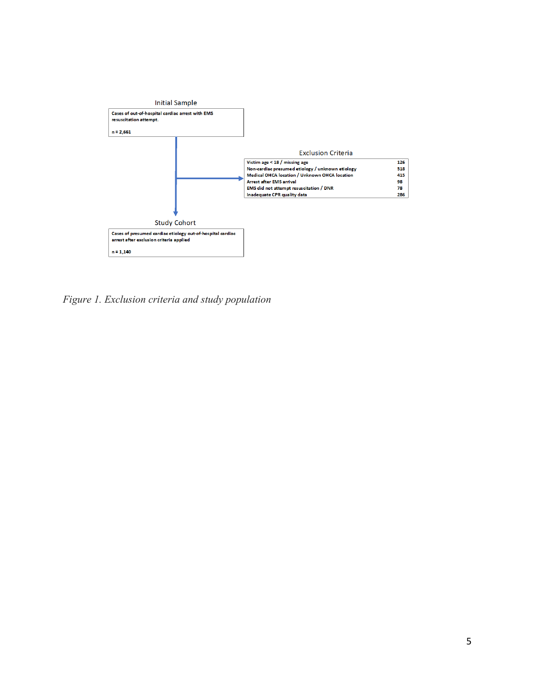

*Figure 1. Exclusion criteria and study population*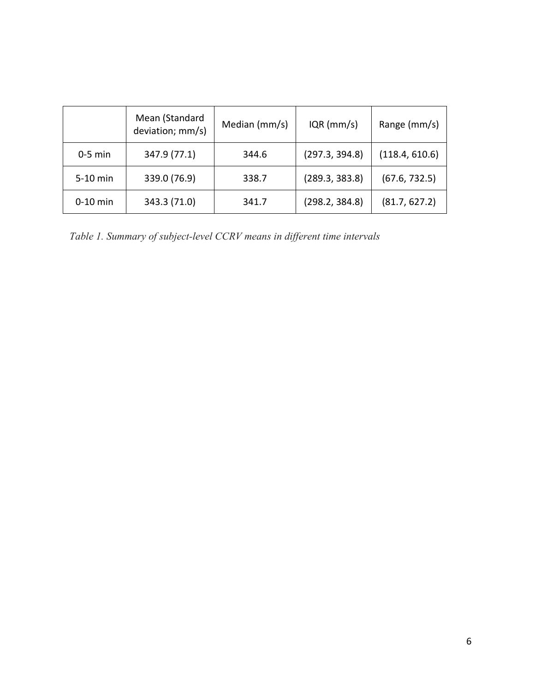|            | Mean (Standard<br>deviation; mm/s) | Median (mm/s) | $IQR$ (mm/s)   | Range (mm/s)   |
|------------|------------------------------------|---------------|----------------|----------------|
| $0-5$ min  | 347.9 (77.1)                       | 344.6         | (297.3, 394.8) | (118.4, 610.6) |
| 5-10 min   | 339.0 (76.9)                       | 338.7         | (289.3, 383.8) | (67.6, 732.5)  |
| $0-10$ min | 343.3 (71.0)                       | 341.7         | (298.2, 384.8) | (81.7, 627.2)  |

*Table 1. Summary of subject-level CCRV means in different time intervals*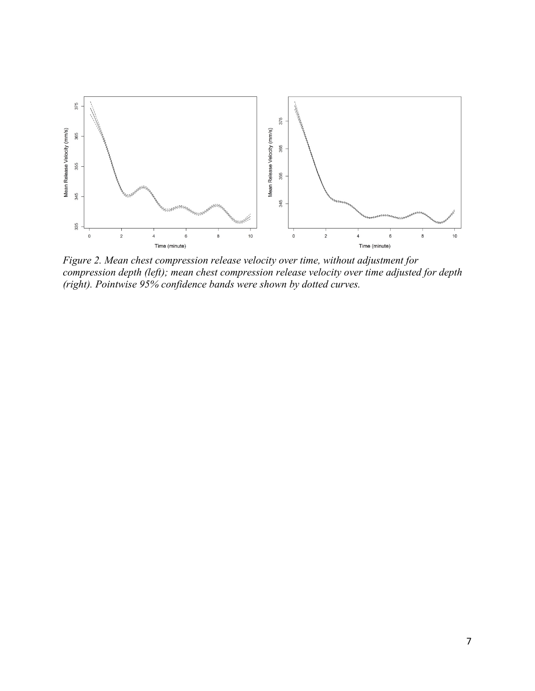

*Figure 2. Mean chest compression release velocity over time, without adjustment for compression depth (left); mean chest compression release velocity over time adjusted for depth (right). Pointwise 95% confidence bands were shown by dotted curves.*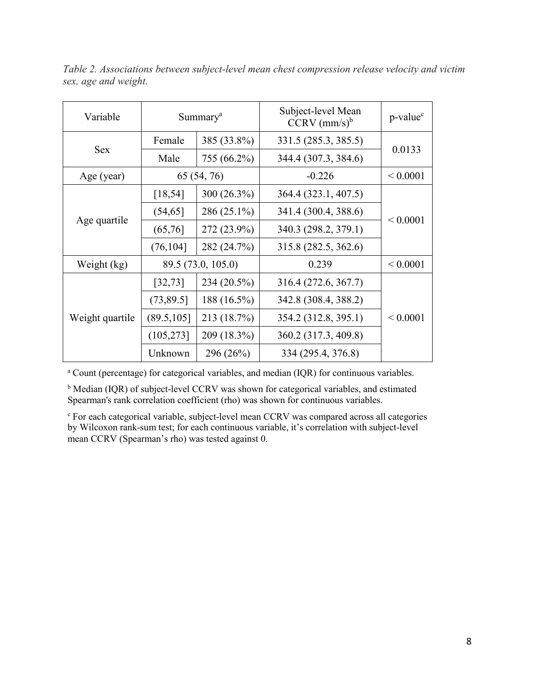| Variable        | Summary <sup>a</sup>       |                                     | Subject-level Mean<br>$CCRV$ (mm/s) <sup>b</sup> | p-value <sup>c</sup> |  |
|-----------------|----------------------------|-------------------------------------|--------------------------------------------------|----------------------|--|
|                 | 385 (33.8%)<br>Female      |                                     | 331.5 (285.3, 385.5)                             |                      |  |
| <b>Sex</b>      | Male                       | 344.4 (307.3, 384.6)<br>755 (66.2%) |                                                  | 0.0133               |  |
| Age (year)      | 65 (54, 76)                |                                     | $-0.226$                                         | ${}< 0.0001$         |  |
| Age quartile    | [18, 54]                   | 300 (26.3%)                         | 364.4 (323.1, 407.5)                             |                      |  |
|                 | (54, 65)                   | 286 (25.1%)                         | 341.4 (300.4, 388.6)                             |                      |  |
|                 | (65,76)                    | 272 (23.9%)                         | 340.3 (298.2, 379.1)                             | ${}_{0.0001}$        |  |
|                 | (76, 104]                  | 282 (24.7%)                         | 315.8 (282.5, 362.6)                             |                      |  |
| Weight (kg)     | 89.5 (73.0, 105.0)         |                                     | 0.239                                            | ${}< 0.0001$         |  |
| Weight quartile | [32, 73]                   | 234 (20.5%)                         | 316.4 (272.6, 367.7)                             |                      |  |
|                 | (73, 89.5)                 | 188 (16.5%)                         | 342.8 (308.4, 388.2)                             |                      |  |
|                 | 213 (18.7%)<br>(89.5, 105) |                                     | 354.2 (312.8, 395.1)                             | ${}< 0.0001$         |  |
|                 | (105, 273]                 | 209 (18.3%)                         | 360.2 (317.3, 409.8)                             |                      |  |
|                 | Unknown                    | 296 (26%)                           | 334 (295.4, 376.8)                               |                      |  |

*Table 2. Associations between subject-level mean chest compression release velocity and victim sex, age and weight.*

<sup>a</sup> Count (percentage) for categorical variables, and median (IQR) for continuous variables.

<sup>b</sup> Median (IQR) of subject-level CCRV was shown for categorical variables, and estimated Spearman's rank correlation coefficient (rho) was shown for continuous variables.

<sup>c</sup> For each categorical variable, subject-level mean CCRV was compared across all categories by Wilcoxon rank-sum test; for each continuous variable, it's correlation with subject-level mean CCRV (Spearman's rho) was tested against 0.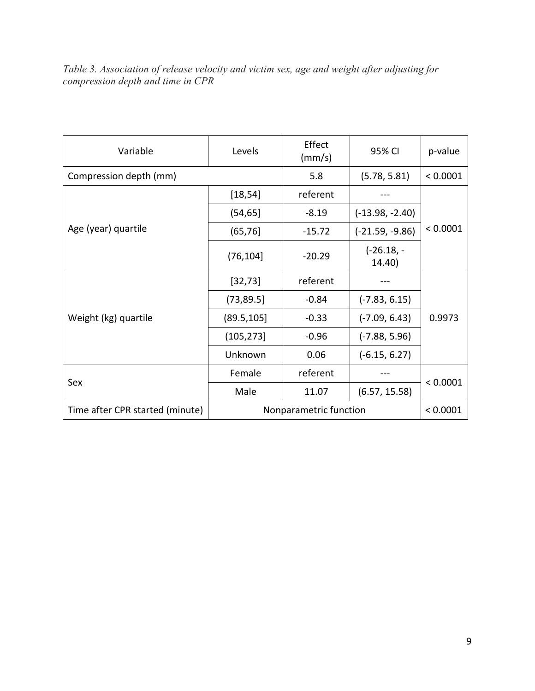*Table 3. Association of release velocity and victim sex, age and weight after adjusting for compression depth and time in CPR*

| Variable                        | Levels                 | Effect<br>(mm/s) | 95% CI                | p-value  |
|---------------------------------|------------------------|------------------|-----------------------|----------|
| Compression depth (mm)          |                        | 5.8              | (5.78, 5.81)          | < 0.0001 |
| Age (year) quartile             | [18, 54]               | referent         |                       | < 0.0001 |
|                                 | (54, 65]               | $-8.19$          | $(-13.98, -2.40)$     |          |
|                                 | (65, 76)               | $-15.72$         | $(-21.59, -9.86)$     |          |
|                                 | (76, 104]              | $-20.29$         | $(-26.18,-$<br>14.40) |          |
| Weight (kg) quartile            | [32, 73]               | referent         |                       | 0.9973   |
|                                 | (73, 89.5)             | $-0.84$          | $(-7.83, 6.15)$       |          |
|                                 | (89.5, 105)            | $-0.33$          | $(-7.09, 6.43)$       |          |
|                                 | (105, 273]             | $-0.96$          | $(-7.88, 5.96)$       |          |
|                                 | Unknown                | 0.06             | $(-6.15, 6.27)$       |          |
| Sex                             | Female                 | referent         |                       | < 0.0001 |
|                                 | Male                   | 11.07            | (6.57, 15.58)         |          |
| Time after CPR started (minute) | Nonparametric function |                  |                       | < 0.0001 |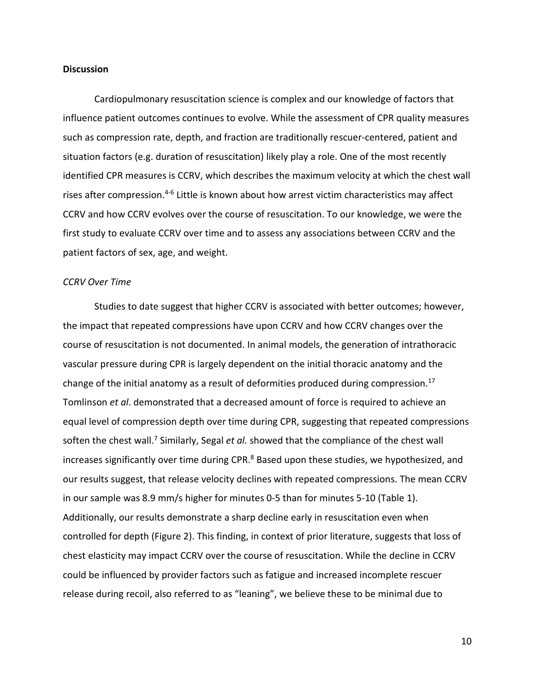## **Discussion**

Cardiopulmonary resuscitation science is complex and our knowledge of factors that influence patient outcomes continues to evolve. While the assessment of CPR quality measures such as compression rate, depth, and fraction are traditionally rescuer-centered, patient and situation factors (e.g. duration of resuscitation) likely play a role. One of the most recently identified CPR measures is CCRV, which describes the maximum velocity at which the chest wall rises after compression.<sup>4-6</sup> Little is known about how arrest victim characteristics may affect CCRV and how CCRV evolves over the course of resuscitation. To our knowledge, we were the first study to evaluate CCRV over time and to assess any associations between CCRV and the patient factors of sex, age, and weight.

#### *CCRV Over Time*

Studies to date suggest that higher CCRV is associated with better outcomes; however, the impact that repeated compressions have upon CCRV and how CCRV changes over the course of resuscitation is not documented. In animal models, the generation of intrathoracic vascular pressure during CPR is largely dependent on the initial thoracic anatomy and the change of the initial anatomy as a result of deformities produced during compression.<sup>17</sup> Tomlinson *et al*. demonstrated that a decreased amount of force is required to achieve an equal level of compression depth over time during CPR, suggesting that repeated compressions soften the chest wall.<sup>7</sup> Similarly, Segal *et al.* showed that the compliance of the chest wall increases significantly over time during CPR.<sup>8</sup> Based upon these studies, we hypothesized, and our results suggest, that release velocity declines with repeated compressions. The mean CCRV in our sample was 8.9 mm/s higher for minutes 0-5 than for minutes 5-10 (Table 1). Additionally, our results demonstrate a sharp decline early in resuscitation even when controlled for depth (Figure 2). This finding, in context of prior literature, suggests that loss of chest elasticity may impact CCRV over the course of resuscitation. While the decline in CCRV could be influenced by provider factors such as fatigue and increased incomplete rescuer release during recoil, also referred to as "leaning", we believe these to be minimal due to

10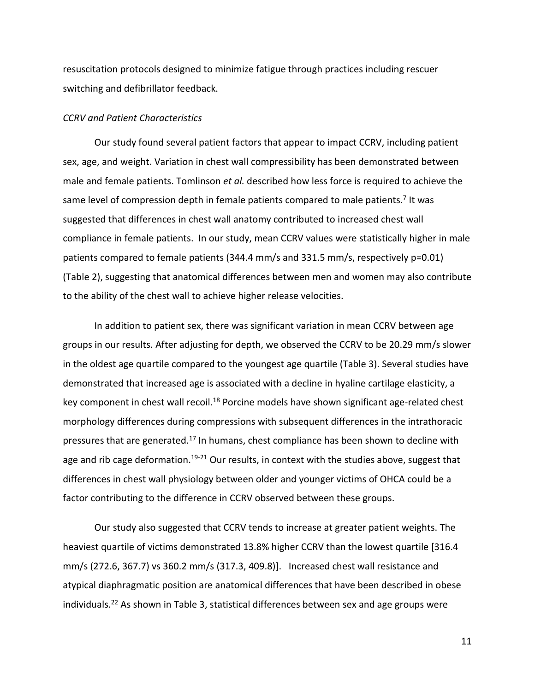resuscitation protocols designed to minimize fatigue through practices including rescuer switching and defibrillator feedback.

## *CCRV and Patient Characteristics*

Our study found several patient factors that appear to impact CCRV, including patient sex, age, and weight. Variation in chest wall compressibility has been demonstrated between male and female patients. Tomlinson *et al.* described how less force is required to achieve the same level of compression depth in female patients compared to male patients.<sup>7</sup> It was suggested that differences in chest wall anatomy contributed to increased chest wall compliance in female patients. In our study, mean CCRV values were statistically higher in male patients compared to female patients (344.4 mm/s and 331.5 mm/s, respectively p=0.01) (Table 2), suggesting that anatomical differences between men and women may also contribute to the ability of the chest wall to achieve higher release velocities.

In addition to patient sex, there was significant variation in mean CCRV between age groups in our results. After adjusting for depth, we observed the CCRV to be 20.29 mm/s slower in the oldest age quartile compared to the youngest age quartile (Table 3). Several studies have demonstrated that increased age is associated with a decline in hyaline cartilage elasticity, a key component in chest wall recoil.<sup>18</sup> Porcine models have shown significant age-related chest morphology differences during compressions with subsequent differences in the intrathoracic pressures that are generated.<sup>17</sup> In humans, chest compliance has been shown to decline with age and rib cage deformation.<sup>19-21</sup> Our results, in context with the studies above, suggest that differences in chest wall physiology between older and younger victims of OHCA could be a factor contributing to the difference in CCRV observed between these groups.

Our study also suggested that CCRV tends to increase at greater patient weights. The heaviest quartile of victims demonstrated 13.8% higher CCRV than the lowest quartile [316.4 mm/s (272.6, 367.7) vs 360.2 mm/s (317.3, 409.8)]. Increased chest wall resistance and atypical diaphragmatic position are anatomical differences that have been described in obese individuals.<sup>22</sup> As shown in Table 3, statistical differences between sex and age groups were

11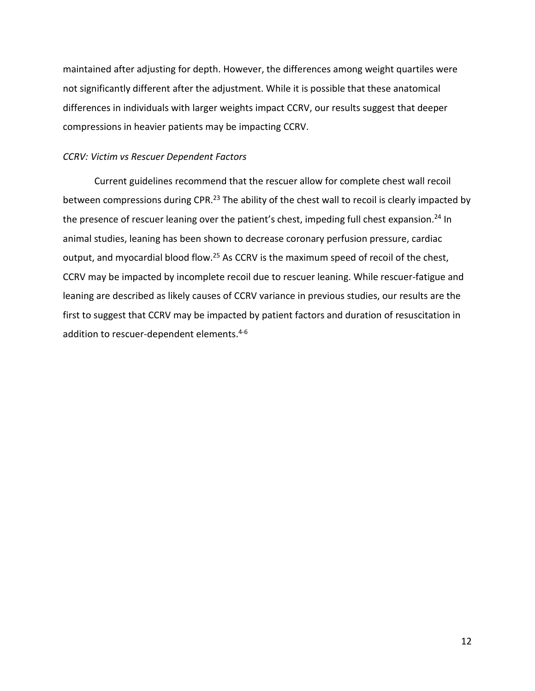maintained after adjusting for depth. However, the differences among weight quartiles were not significantly different after the adjustment. While it is possible that these anatomical differences in individuals with larger weights impact CCRV, our results suggest that deeper compressions in heavier patients may be impacting CCRV.

## *CCRV: Victim vs Rescuer Dependent Factors*

Current guidelines recommend that the rescuer allow for complete chest wall recoil between compressions during CPR.<sup>23</sup> The ability of the chest wall to recoil is clearly impacted by the presence of rescuer leaning over the patient's chest, impeding full chest expansion.<sup>24</sup> In animal studies, leaning has been shown to decrease coronary perfusion pressure, cardiac output, and myocardial blood flow.<sup>25</sup> As CCRV is the maximum speed of recoil of the chest, CCRV may be impacted by incomplete recoil due to rescuer leaning. While rescuer-fatigue and leaning are described as likely causes of CCRV variance in previous studies, our results are the first to suggest that CCRV may be impacted by patient factors and duration of resuscitation in addition to rescuer-dependent elements.<sup>4-6</sup>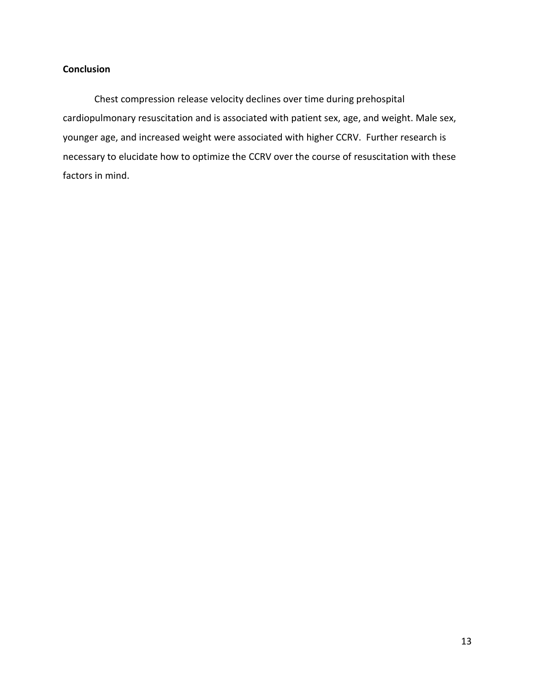## **Conclusion**

Chest compression release velocity declines over time during prehospital cardiopulmonary resuscitation and is associated with patient sex, age, and weight. Male sex, younger age, and increased weight were associated with higher CCRV. Further research is necessary to elucidate how to optimize the CCRV over the course of resuscitation with these factors in mind.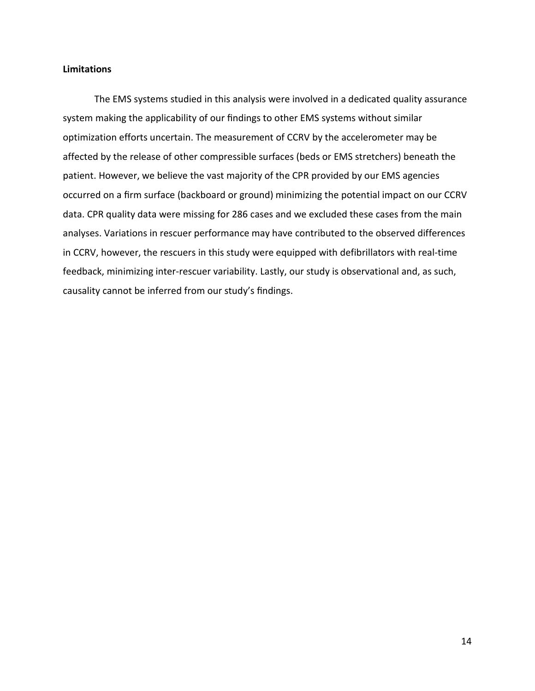## **Limitations**

The EMS systems studied in this analysis were involved in a dedicated quality assurance system making the applicability of our findings to other EMS systems without similar optimization efforts uncertain. The measurement of CCRV by the accelerometer may be affected by the release of other compressible surfaces (beds or EMS stretchers) beneath the patient. However, we believe the vast majority of the CPR provided by our EMS agencies occurred on a firm surface (backboard or ground) minimizing the potential impact on our CCRV data. CPR quality data were missing for 286 cases and we excluded these cases from the main analyses. Variations in rescuer performance may have contributed to the observed differences in CCRV, however, the rescuers in this study were equipped with defibrillators with real-time feedback, minimizing inter-rescuer variability. Lastly, our study is observational and, as such, causality cannot be inferred from our study's findings.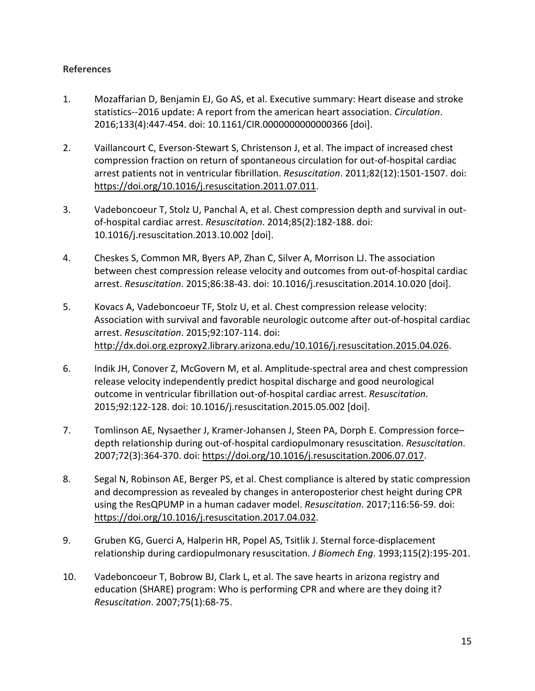## **References**

- 1. Mozaffarian D, Benjamin EJ, Go AS, et al. Executive summary: Heart disease and stroke statistics--2016 update: A report from the american heart association. *Circulation*. 2016;133(4):447-454. doi: 10.1161/CIR.0000000000000366 [doi].
- 2. Vaillancourt C, Everson-Stewart S, Christenson J, et al. The impact of increased chest compression fraction on return of spontaneous circulation for out-of-hospital cardiac arrest patients not in ventricular fibrillation. *Resuscitation*. 2011;82(12):1501-1507. doi: [https://doi.org/10.1016/j.resuscitation.2011.07.011.](https://doi.org/10.1016/j.resuscitation.2011.07.011)
- 3. Vadeboncoeur T, Stolz U, Panchal A, et al. Chest compression depth and survival in outof-hospital cardiac arrest. *Resuscitation*. 2014;85(2):182-188. doi: 10.1016/j.resuscitation.2013.10.002 [doi].
- 4. Cheskes S, Common MR, Byers AP, Zhan C, Silver A, Morrison LJ. The association between chest compression release velocity and outcomes from out-of-hospital cardiac arrest. *Resuscitation*. 2015;86:38-43. doi: 10.1016/j.resuscitation.2014.10.020 [doi].
- 5. Kovacs A, Vadeboncoeur TF, Stolz U, et al. Chest compression release velocity: Association with survival and favorable neurologic outcome after out-of-hospital cardiac arrest. *Resuscitation*. 2015;92:107-114. doi: [http://dx.doi.org.ezproxy2.library.arizona.edu/10.1016/j.resuscitation.2015.04.026.](http://dx.doi.org.ezproxy2.library.arizona.edu/10.1016/j.resuscitation.2015.04.026)
- 6. Indik JH, Conover Z, McGovern M, et al. Amplitude-spectral area and chest compression release velocity independently predict hospital discharge and good neurological outcome in ventricular fibrillation out-of-hospital cardiac arrest. *Resuscitation*. 2015;92:122-128. doi: 10.1016/j.resuscitation.2015.05.002 [doi].
- 7. Tomlinson AE, Nysaether J, Kramer-Johansen J, Steen PA, Dorph E. Compression force– depth relationship during out-of-hospital cardiopulmonary resuscitation. *Resuscitation*. 2007;72(3):364-370. doi: [https://doi.org/10.1016/j.resuscitation.2006.07.017.](https://doi.org/10.1016/j.resuscitation.2006.07.017)
- 8. Segal N, Robinson AE, Berger PS, et al. Chest compliance is altered by static compression and decompression as revealed by changes in anteroposterior chest height during CPR using the ResQPUMP in a human cadaver model. *Resuscitation*. 2017;116:56-59. doi: [https://doi.org/10.1016/j.resuscitation.2017.04.032.](https://doi.org/10.1016/j.resuscitation.2017.04.032)
- 9. Gruben KG, Guerci A, Halperin HR, Popel AS, Tsitlik J. Sternal force-displacement relationship during cardiopulmonary resuscitation. *J Biomech Eng*. 1993;115(2):195-201.
- 10. Vadeboncoeur T, Bobrow BJ, Clark L, et al. The save hearts in arizona registry and education (SHARE) program: Who is performing CPR and where are they doing it? *Resuscitation*. 2007;75(1):68-75.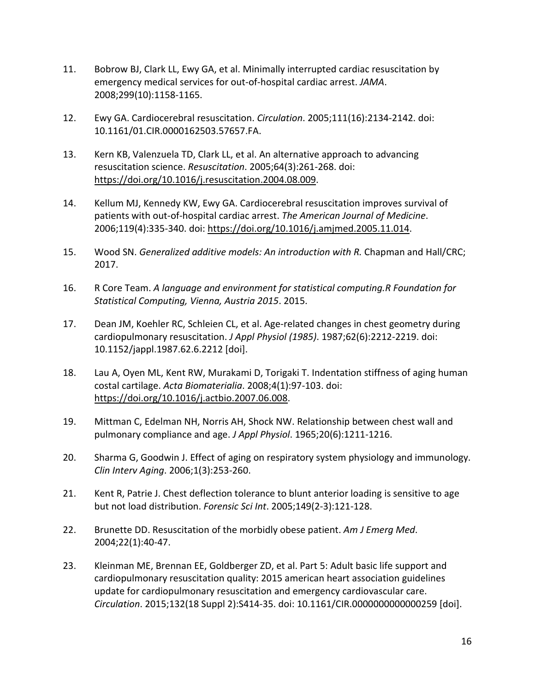- 11. Bobrow BJ, Clark LL, Ewy GA, et al. Minimally interrupted cardiac resuscitation by emergency medical services for out-of-hospital cardiac arrest. *JAMA*. 2008;299(10):1158-1165.
- 12. Ewy GA. Cardiocerebral resuscitation. *Circulation*. 2005;111(16):2134-2142. doi: 10.1161/01.CIR.0000162503.57657.FA.
- 13. Kern KB, Valenzuela TD, Clark LL, et al. An alternative approach to advancing resuscitation science. *Resuscitation*. 2005;64(3):261-268. doi: [https://doi.org/10.1016/j.resuscitation.2004.08.009.](https://doi.org/10.1016/j.resuscitation.2004.08.009)
- 14. Kellum MJ, Kennedy KW, Ewy GA. Cardiocerebral resuscitation improves survival of patients with out-of-hospital cardiac arrest. *The American Journal of Medicine*. 2006;119(4):335-340. doi: [https://doi.org/10.1016/j.amjmed.2005.11.014.](https://doi.org/10.1016/j.amjmed.2005.11.014)
- 15. Wood SN. *Generalized additive models: An introduction with R.* Chapman and Hall/CRC; 2017.
- 16. R Core Team. *A language and environment for statistical computing.R Foundation for Statistical Computing, Vienna, Austria 2015*. 2015.
- 17. Dean JM, Koehler RC, Schleien CL, et al. Age-related changes in chest geometry during cardiopulmonary resuscitation. *J Appl Physiol (1985)*. 1987;62(6):2212-2219. doi: 10.1152/jappl.1987.62.6.2212 [doi].
- 18. Lau A, Oyen ML, Kent RW, Murakami D, Torigaki T. Indentation stiffness of aging human costal cartilage. *Acta Biomaterialia*. 2008;4(1):97-103. doi: [https://doi.org/10.1016/j.actbio.2007.06.008.](https://doi.org/10.1016/j.actbio.2007.06.008)
- 19. Mittman C, Edelman NH, Norris AH, Shock NW. Relationship between chest wall and pulmonary compliance and age. *J Appl Physiol*. 1965;20(6):1211-1216.
- 20. Sharma G, Goodwin J. Effect of aging on respiratory system physiology and immunology. *Clin Interv Aging*. 2006;1(3):253-260.
- 21. Kent R, Patrie J. Chest deflection tolerance to blunt anterior loading is sensitive to age but not load distribution. *Forensic Sci Int*. 2005;149(2-3):121-128.
- 22. Brunette DD. Resuscitation of the morbidly obese patient. *Am J Emerg Med*. 2004;22(1):40-47.
- 23. Kleinman ME, Brennan EE, Goldberger ZD, et al. Part 5: Adult basic life support and cardiopulmonary resuscitation quality: 2015 american heart association guidelines update for cardiopulmonary resuscitation and emergency cardiovascular care. *Circulation*. 2015;132(18 Suppl 2):S414-35. doi: 10.1161/CIR.0000000000000259 [doi].